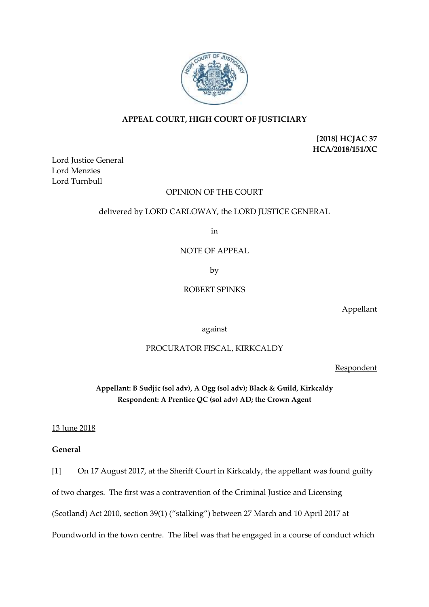

# **APPEAL COURT, HIGH COURT OF JUSTICIARY**

**[2018] HCJAC 37 HCA/2018/151/XC**

Lord Justice General Lord Menzies Lord Turnbull

## OPINION OF THE COURT

## delivered by LORD CARLOWAY, the LORD JUSTICE GENERAL

in

NOTE OF APPEAL

by

## ROBERT SPINKS

Appellant

against

## PROCURATOR FISCAL, KIRKCALDY

Respondent

**Appellant: B Sudjic (sol adv), A Ogg (sol adv); Black & Guild, Kirkcaldy Respondent: A Prentice QC (sol adv) AD; the Crown Agent**

13 June 2018

# **General**

[1] On 17 August 2017, at the Sheriff Court in Kirkcaldy, the appellant was found guilty of two charges. The first was a contravention of the Criminal Justice and Licensing (Scotland) Act 2010, section 39(1) ("stalking") between 27 March and 10 April 2017 at Poundworld in the town centre. The libel was that he engaged in a course of conduct which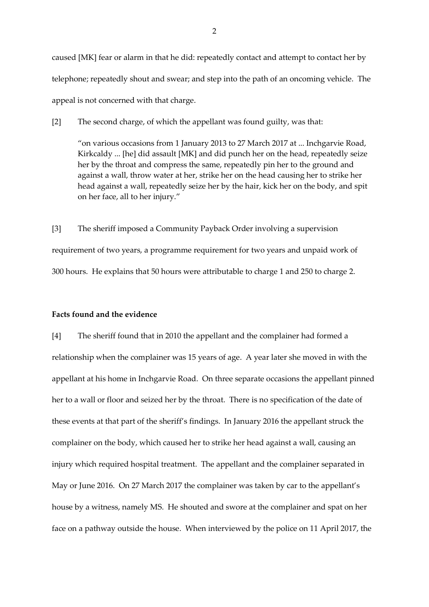caused [MK] fear or alarm in that he did: repeatedly contact and attempt to contact her by telephone; repeatedly shout and swear; and step into the path of an oncoming vehicle. The appeal is not concerned with that charge.

[2] The second charge, of which the appellant was found guilty, was that:

"on various occasions from 1 January 2013 to 27 March 2017 at ... Inchgarvie Road, Kirkcaldy ... [he] did assault [MK] and did punch her on the head, repeatedly seize her by the throat and compress the same, repeatedly pin her to the ground and against a wall, throw water at her, strike her on the head causing her to strike her head against a wall, repeatedly seize her by the hair, kick her on the body, and spit on her face, all to her injury."

[3] The sheriff imposed a Community Payback Order involving a supervision requirement of two years, a programme requirement for two years and unpaid work of 300 hours. He explains that 50 hours were attributable to charge 1 and 250 to charge 2.

### **Facts found and the evidence**

[4] The sheriff found that in 2010 the appellant and the complainer had formed a relationship when the complainer was 15 years of age. A year later she moved in with the appellant at his home in Inchgarvie Road. On three separate occasions the appellant pinned her to a wall or floor and seized her by the throat. There is no specification of the date of these events at that part of the sheriff's findings. In January 2016 the appellant struck the complainer on the body, which caused her to strike her head against a wall, causing an injury which required hospital treatment. The appellant and the complainer separated in May or June 2016. On 27 March 2017 the complainer was taken by car to the appellant's house by a witness, namely MS. He shouted and swore at the complainer and spat on her face on a pathway outside the house. When interviewed by the police on 11 April 2017, the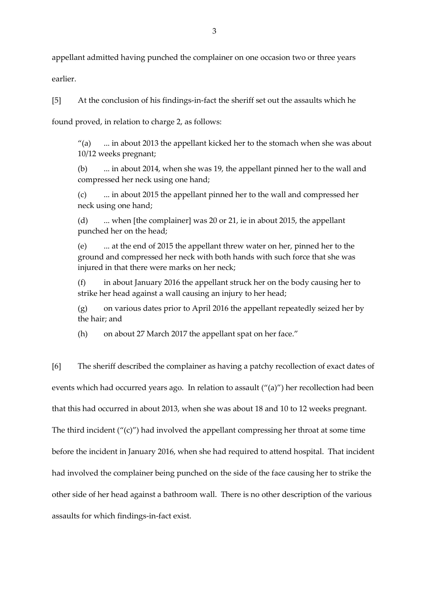appellant admitted having punched the complainer on one occasion two or three years

earlier.

[5] At the conclusion of his findings-in-fact the sheriff set out the assaults which he

found proved, in relation to charge 2, as follows:

"(a)  $\ldots$  in about 2013 the appellant kicked her to the stomach when she was about 10/12 weeks pregnant;

(b) ... in about 2014, when she was 19, the appellant pinned her to the wall and compressed her neck using one hand;

(c) ... in about 2015 the appellant pinned her to the wall and compressed her neck using one hand;

(d) ... when [the complainer] was 20 or 21, ie in about 2015, the appellant punched her on the head;

(e) ... at the end of 2015 the appellant threw water on her, pinned her to the ground and compressed her neck with both hands with such force that she was injured in that there were marks on her neck;

(f) in about January 2016 the appellant struck her on the body causing her to strike her head against a wall causing an injury to her head;

(g) on various dates prior to April 2016 the appellant repeatedly seized her by the hair; and

(h) on about 27 March 2017 the appellant spat on her face."

[6] The sheriff described the complainer as having a patchy recollection of exact dates of events which had occurred years ago. In relation to assault ("(a)") her recollection had been that this had occurred in about 2013, when she was about 18 and 10 to 12 weeks pregnant. The third incident  $('(c)'')$  had involved the appellant compressing her throat at some time before the incident in January 2016, when she had required to attend hospital. That incident had involved the complainer being punched on the side of the face causing her to strike the other side of her head against a bathroom wall. There is no other description of the various assaults for which findings-in-fact exist.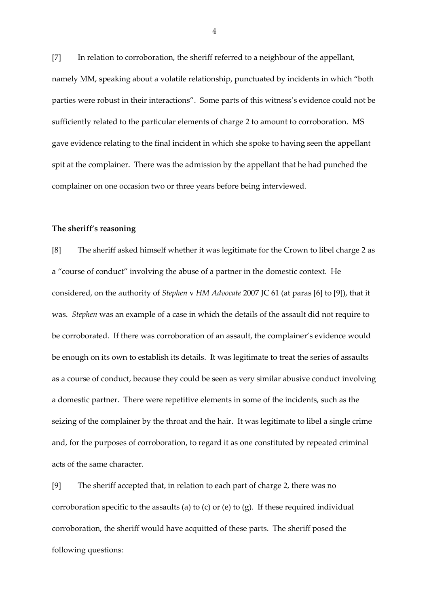[7] In relation to corroboration, the sheriff referred to a neighbour of the appellant, namely MM, speaking about a volatile relationship, punctuated by incidents in which "both parties were robust in their interactions". Some parts of this witness's evidence could not be sufficiently related to the particular elements of charge 2 to amount to corroboration. MS gave evidence relating to the final incident in which she spoke to having seen the appellant spit at the complainer. There was the admission by the appellant that he had punched the complainer on one occasion two or three years before being interviewed.

### **The sheriff's reasoning**

[8] The sheriff asked himself whether it was legitimate for the Crown to libel charge 2 as a "course of conduct" involving the abuse of a partner in the domestic context. He considered, on the authority of *Stephen* v *HM Advocate* 2007 JC 61 (at paras [6] to [9]), that it was. *Stephen* was an example of a case in which the details of the assault did not require to be corroborated. If there was corroboration of an assault, the complainer's evidence would be enough on its own to establish its details. It was legitimate to treat the series of assaults as a course of conduct, because they could be seen as very similar abusive conduct involving a domestic partner. There were repetitive elements in some of the incidents, such as the seizing of the complainer by the throat and the hair. It was legitimate to libel a single crime and, for the purposes of corroboration, to regard it as one constituted by repeated criminal acts of the same character.

[9] The sheriff accepted that, in relation to each part of charge 2, there was no corroboration specific to the assaults (a) to (c) or (e) to (g). If these required individual corroboration, the sheriff would have acquitted of these parts. The sheriff posed the following questions:

4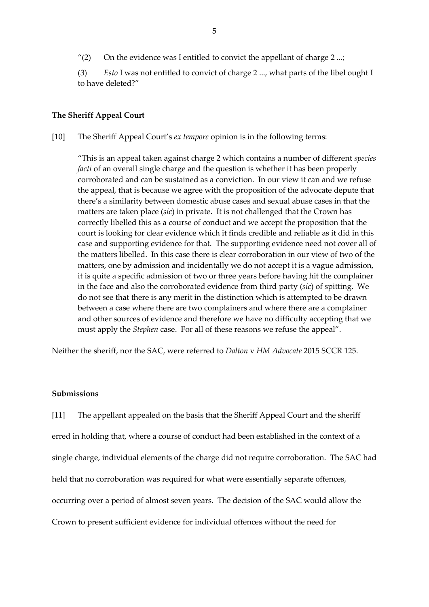"(2) On the evidence was I entitled to convict the appellant of charge  $2 \ldots$ ;

(3) *Esto* I was not entitled to convict of charge 2 ..., what parts of the libel ought I to have deleted?"

### **The Sheriff Appeal Court**

[10] The Sheriff Appeal Court's *ex tempore* opinion is in the following terms:

"This is an appeal taken against charge 2 which contains a number of different *species facti* of an overall single charge and the question is whether it has been properly corroborated and can be sustained as a conviction. In our view it can and we refuse the appeal, that is because we agree with the proposition of the advocate depute that there's a similarity between domestic abuse cases and sexual abuse cases in that the matters are taken place (*sic*) in private. It is not challenged that the Crown has correctly libelled this as a course of conduct and we accept the proposition that the court is looking for clear evidence which it finds credible and reliable as it did in this case and supporting evidence for that. The supporting evidence need not cover all of the matters libelled. In this case there is clear corroboration in our view of two of the matters, one by admission and incidentally we do not accept it is a vague admission, it is quite a specific admission of two or three years before having hit the complainer in the face and also the corroborated evidence from third party (*sic*) of spitting. We do not see that there is any merit in the distinction which is attempted to be drawn between a case where there are two complainers and where there are a complainer and other sources of evidence and therefore we have no difficulty accepting that we must apply the *Stephen* case. For all of these reasons we refuse the appeal".

Neither the sheriff, nor the SAC, were referred to *Dalton* v *HM Advocate* 2015 SCCR 125.

# **Submissions**

[11] The appellant appealed on the basis that the Sheriff Appeal Court and the sheriff erred in holding that, where a course of conduct had been established in the context of a single charge, individual elements of the charge did not require corroboration. The SAC had held that no corroboration was required for what were essentially separate offences, occurring over a period of almost seven years. The decision of the SAC would allow the Crown to present sufficient evidence for individual offences without the need for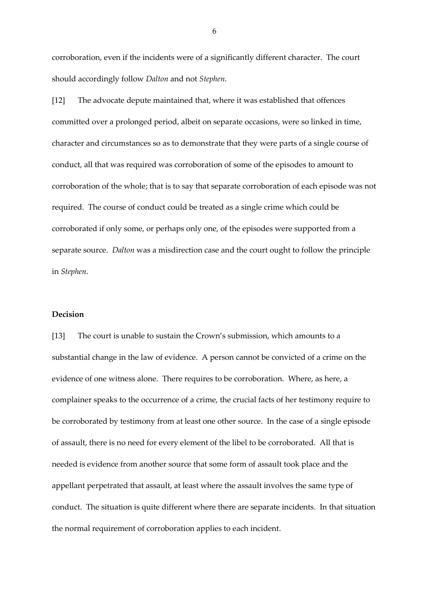corroboration, even if the incidents were of a significantly different character. The court should accordingly follow *Dalton* and not *Stephen*.

[12] The advocate depute maintained that, where it was established that offences committed over a prolonged period, albeit on separate occasions, were so linked in time, character and circumstances so as to demonstrate that they were parts of a single course of conduct, all that was required was corroboration of some of the episodes to amount to corroboration of the whole; that is to say that separate corroboration of each episode was not required. The course of conduct could be treated as a single crime which could be corroborated if only some, or perhaps only one, of the episodes were supported from a separate source. *Dalton* was a misdirection case and the court ought to follow the principle in *Stephen*.

### **Decision**

[13] The court is unable to sustain the Crown's submission, which amounts to a substantial change in the law of evidence. A person cannot be convicted of a crime on the evidence of one witness alone. There requires to be corroboration. Where, as here, a complainer speaks to the occurrence of a crime, the crucial facts of her testimony require to be corroborated by testimony from at least one other source. In the case of a single episode of assault, there is no need for every element of the libel to be corroborated. All that is needed is evidence from another source that some form of assault took place and the appellant perpetrated that assault, at least where the assault involves the same type of conduct. The situation is quite different where there are separate incidents. In that situation the normal requirement of corroboration applies to each incident.

6